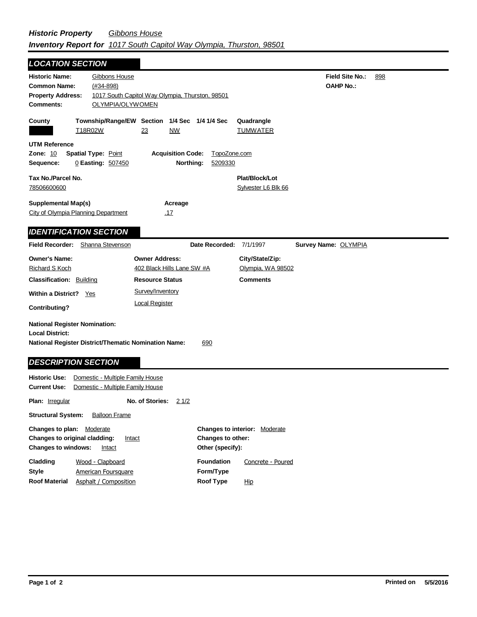| <b>LOCATION SECTION</b>                                                                                                        |                                                                     |                                       |                                       |                                            |     |
|--------------------------------------------------------------------------------------------------------------------------------|---------------------------------------------------------------------|---------------------------------------|---------------------------------------|--------------------------------------------|-----|
| <b>Historic Name:</b><br>Gibbons House<br><b>Common Name:</b><br>$(#34 - 898)$<br><b>Property Address:</b><br><b>Comments:</b> | 1017 South Capitol Way Olympia, Thurston, 98501<br>OLYMPIA/OLYWOMEN |                                       |                                       | <b>Field Site No.:</b><br><b>OAHP No.:</b> | 898 |
| County<br>T18R02W                                                                                                              | Township/Range/EW Section 1/4 Sec 1/4 1/4 Sec<br>23<br><u>NW</u>    |                                       | Quadrangle<br><b>TUMWATER</b>         |                                            |     |
| UTM Reference<br>Zone: 10<br><b>Spatial Type: Point</b><br>Sequence:<br>0 Easting: 507450                                      | <b>Acquisition Code:</b><br>Northing:                               | TopoZone.com<br>5209330               |                                       |                                            |     |
| Tax No./Parcel No.<br>78506600600                                                                                              |                                                                     |                                       | Plat/Block/Lot<br>Sylvester L6 Blk 66 |                                            |     |
| <b>Supplemental Map(s)</b><br>City of Olympia Planning Department                                                              | Acreage<br><u>.17</u>                                               |                                       |                                       |                                            |     |
| <b>IDENTIFICATION SECTION</b>                                                                                                  |                                                                     |                                       |                                       |                                            |     |
| Field Recorder: Shanna Stevenson                                                                                               |                                                                     | Date Recorded:                        | 7/1/1997                              | Survey Name: OLYMPIA                       |     |
| <b>Owner's Name:</b><br><b>Richard S Koch</b>                                                                                  | <b>Owner Address:</b><br>402 Black Hills Lane SW #A                 |                                       | City/State/Zip:<br>Olympia, WA 98502  |                                            |     |
| <b>Classification: Building</b>                                                                                                | <b>Resource Status</b>                                              |                                       | <b>Comments</b>                       |                                            |     |
| Within a District? Yes                                                                                                         | Survey/Inventory                                                    |                                       |                                       |                                            |     |
| <b>Contributing?</b>                                                                                                           | <b>Local Register</b>                                               |                                       |                                       |                                            |     |
| <b>National Register Nomination:</b><br><b>Local District:</b><br><b>National Register District/Thematic Nomination Name:</b>  |                                                                     | 690                                   |                                       |                                            |     |
| <b>DESCRIPTION SECTION</b><br><b>Historic Use:</b>                                                                             | Domestic - Multiple Family House                                    |                                       |                                       |                                            |     |
| <b>Current Use:</b>                                                                                                            | Domestic - Multiple Family House                                    |                                       |                                       |                                            |     |
| Plan: Irregular                                                                                                                | No. of Stories:<br><u>2 1/2</u>                                     |                                       |                                       |                                            |     |
| <b>Structural System:</b><br><b>Balloon Frame</b>                                                                              |                                                                     |                                       |                                       |                                            |     |
| Changes to plan: Moderate<br>Changes to original cladding:<br><b>Changes to windows:</b><br>Intact                             | Intact                                                              | Changes to other:<br>Other (specify): | Changes to interior: Moderate         |                                            |     |
| Cladding<br>Wood - Clapboard<br><b>Style</b><br><b>American Foursquare</b>                                                     |                                                                     | <b>Foundation</b><br>Form/Type        | Concrete - Poured                     |                                            |     |

Hip

**Roof Material** Asphalt / Composition **Roof Type**